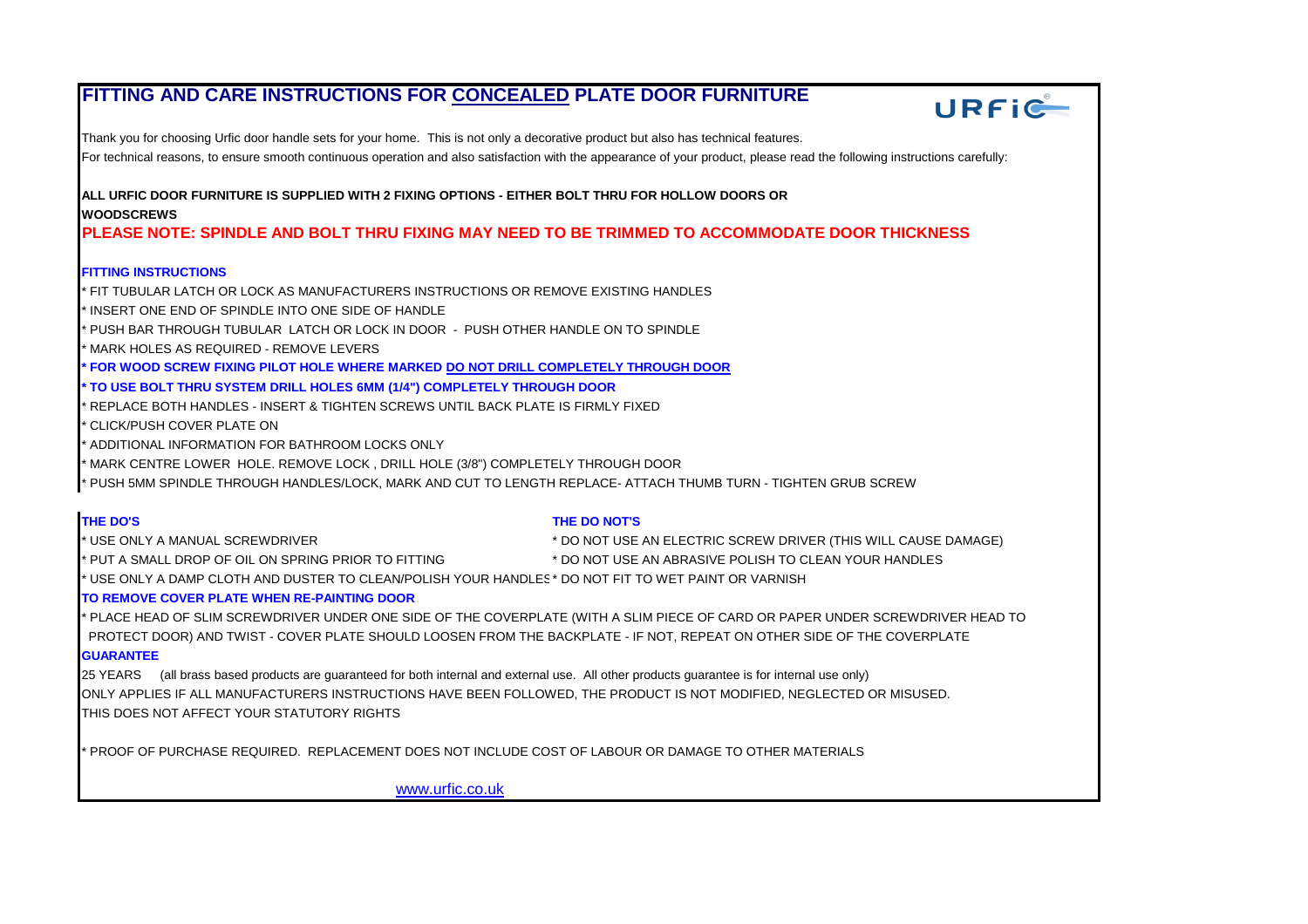# **FITTING AND CARE INSTRUCTIONS FOR CONCEALED PLATE DOOR FURNITURE**



Thank you for choosing Urfic door handle sets for your home. This is not only a decorative product but also has technical features. For technical reasons, to ensure smooth continuous operation and also satisfaction with the appearance of your product, please read the following instructions carefully:

**ALL URFIC DOOR FURNITURE IS SUPPLIED WITH 2 FIXING OPTIONS - EITHER BOLT THRU FOR HOLLOW DOORS OR WOODSCREWS**

**PLEASE NOTE: SPINDLE AND BOLT THRU FIXING MAY NEED TO BE TRIMMED TO ACCOMMODATE DOOR THICKNESS**

## **FITTING INSTRUCTIONS**

\* FIT TUBULAR LATCH OR LOCK AS MANUFACTURERS INSTRUCTIONS OR REMOVE EXISTING HANDLES

INSERT ONE END OF SPINDLE INTO ONE SIDE OF HANDLE

\* PUSH BAR THROUGH TUBULAR LATCH OR LOCK IN DOOR - PUSH OTHER HANDLE ON TO SPINDLE

MARK HOLES AS REQUIRED - REMOVE LEVERS

**\* FOR WOOD SCREW FIXING PILOT HOLE WHERE MARKED DO NOT DRILL COMPLETELY THROUGH DOOR**

## **\* TO USE BOLT THRU SYSTEM DRILL HOLES 6MM (1/4") COMPLETELY THROUGH DOOR**

\* REPLACE BOTH HANDLES - INSERT & TIGHTEN SCREWS UNTIL BACK PLATE IS FIRMLY FIXED

\* CLICK/PUSH COVER PLATE ON

ADDITIONAL INFORMATION FOR BATHROOM LOCKS ONLY

MARK CENTRE LOWER HOLE. REMOVE LOCK, DRILL HOLE (3/8") COMPLETELY THROUGH DOOR

\* PUSH 5MM SPINDLE THROUGH HANDLES/LOCK, MARK AND CUT TO LENGTH REPLACE- ATTACH THUMB TURN - TIGHTEN GRUB SCREW

### **THE DO'S THE DO NOT'S**

\* USE ONLY A MANUAL SCREWDRIVER \* DO NOT USE AN ELECTRIC SCREW DRIVER (THIS WILL CAUSE DAMAGE) \* PUT A SMALL DROP OF OIL ON SPRING PRIOR TO FITTING \* DO NOT USE AN ABRASIVE POLISH TO CLEAN YOUR HANDLES

\* USE ONLY A DAMP CLOTH AND DUSTER TO CLEAN/POLISH YOUR HANDLES\* DO NOT FIT TO WET PAINT OR VARNISH

## **TO REMOVE COVER PLATE WHEN RE-PAINTING DOOR**

\* PLACE HEAD OF SLIM SCREWDRIVER UNDER ONE SIDE OF THE COVERPLATE (WITH A SLIM PIECE OF CARD OR PAPER UNDER SCREWDRIVER HEAD TO PROTECT DOOR) AND TWIST - COVER PLATE SHOULD LOOSEN FROM THE BACKPLATE - IF NOT, REPEAT ON OTHER SIDE OF THE COVERPLATE **GUARANTEE**

25 YEARS (all brass based products are guaranteed for both internal and external use. All other products guarantee is for internal use only) ONLY APPLIES IF ALL MANUFACTURERS INSTRUCTIONS HAVE BEEN FOLLOWED, THE PRODUCT IS NOT MODIFIED, NEGLECTED OR MISUSED. THIS DOES NOT AFFECT YOUR STATUTORY RIGHTS

\* PROOF OF PURCHASE REQUIRED. REPLACEMENT DOES NOT INCLUDE COST OF LABOUR OR DAMAGE TO OTHER MATERIALS

[www.urfic.co.uk](http://www.urfic.co.uk/#)